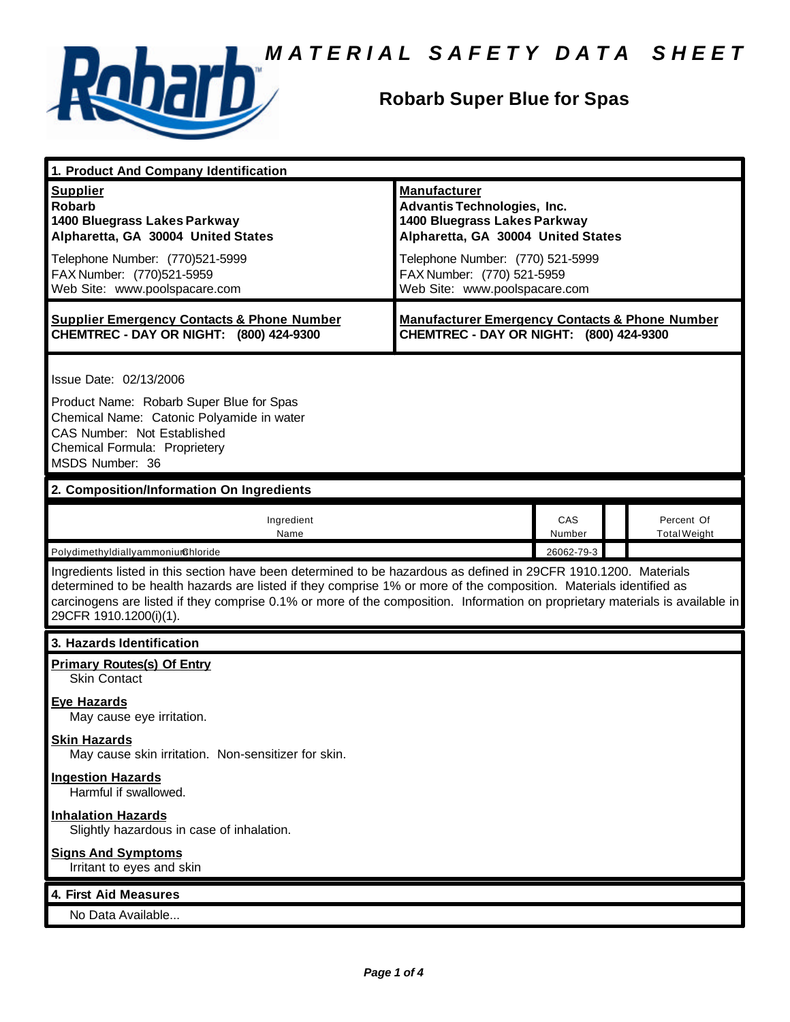

# **Robarb Super Blue for Spas**

| 1. Product And Company Identification                                                                                                                                                                                                                                                                                                                                                             |                                                                                                                                                                                                                                    |               |                                   |  |
|---------------------------------------------------------------------------------------------------------------------------------------------------------------------------------------------------------------------------------------------------------------------------------------------------------------------------------------------------------------------------------------------------|------------------------------------------------------------------------------------------------------------------------------------------------------------------------------------------------------------------------------------|---------------|-----------------------------------|--|
| <b>Supplier</b><br><b>Robarb</b><br>1400 Bluegrass Lakes Parkway<br>Alpharetta, GA 30004 United States<br>Telephone Number: (770)521-5999<br>FAX Number: (770)521-5959<br>Web Site: www.poolspacare.com                                                                                                                                                                                           | <b>Manufacturer</b><br><b>Advantis Technologies, Inc.</b><br>1400 Bluegrass Lakes Parkway<br>Alpharetta, GA 30004 United States<br>Telephone Number: (770) 521-5999<br>FAX Number: (770) 521-5959<br>Web Site: www.poolspacare.com |               |                                   |  |
| <b>Supplier Emergency Contacts &amp; Phone Number</b><br>CHEMTREC - DAY OR NIGHT: (800) 424-9300                                                                                                                                                                                                                                                                                                  | <b>Manufacturer Emergency Contacts &amp; Phone Number</b><br>CHEMTREC - DAY OR NIGHT: (800) 424-9300                                                                                                                               |               |                                   |  |
| Issue Date: 02/13/2006<br>Product Name: Robarb Super Blue for Spas<br>Chemical Name: Catonic Polyamide in water<br>CAS Number: Not Established<br>Chemical Formula: Proprietery<br>MSDS Number: 36                                                                                                                                                                                                |                                                                                                                                                                                                                                    |               |                                   |  |
| 2. Composition/Information On Ingredients                                                                                                                                                                                                                                                                                                                                                         |                                                                                                                                                                                                                                    |               |                                   |  |
| Ingredient<br>Name                                                                                                                                                                                                                                                                                                                                                                                |                                                                                                                                                                                                                                    | CAS<br>Number | Percent Of<br><b>Total Weight</b> |  |
| PolydimethyldiallyammoniumChloride                                                                                                                                                                                                                                                                                                                                                                |                                                                                                                                                                                                                                    | 26062-79-3    |                                   |  |
| Ingredients listed in this section have been determined to be hazardous as defined in 29CFR 1910.1200. Materials<br>determined to be health hazards are listed if they comprise 1% or more of the composition. Materials identified as<br>carcinogens are listed if they comprise 0.1% or more of the composition. Information on proprietary materials is available in<br>29CFR 1910.1200(i)(1). |                                                                                                                                                                                                                                    |               |                                   |  |
| 3. Hazards Identification                                                                                                                                                                                                                                                                                                                                                                         |                                                                                                                                                                                                                                    |               |                                   |  |
| <b>Primary Routes(s) Of Entry</b><br><b>Skin Contact</b>                                                                                                                                                                                                                                                                                                                                          |                                                                                                                                                                                                                                    |               |                                   |  |
| Eve Hazards<br>May cause eye irritation.                                                                                                                                                                                                                                                                                                                                                          |                                                                                                                                                                                                                                    |               |                                   |  |
| <b>Skin Hazards</b><br>May cause skin irritation. Non-sensitizer for skin.                                                                                                                                                                                                                                                                                                                        |                                                                                                                                                                                                                                    |               |                                   |  |
| <b>Ingestion Hazards</b><br>Harmful if swallowed.                                                                                                                                                                                                                                                                                                                                                 |                                                                                                                                                                                                                                    |               |                                   |  |
| <b>Inhalation Hazards</b><br>Slightly hazardous in case of inhalation.                                                                                                                                                                                                                                                                                                                            |                                                                                                                                                                                                                                    |               |                                   |  |
| <b>Signs And Symptoms</b><br>Irritant to eyes and skin                                                                                                                                                                                                                                                                                                                                            |                                                                                                                                                                                                                                    |               |                                   |  |
| 4. First Aid Measures                                                                                                                                                                                                                                                                                                                                                                             |                                                                                                                                                                                                                                    |               |                                   |  |
| No Data Available                                                                                                                                                                                                                                                                                                                                                                                 |                                                                                                                                                                                                                                    |               |                                   |  |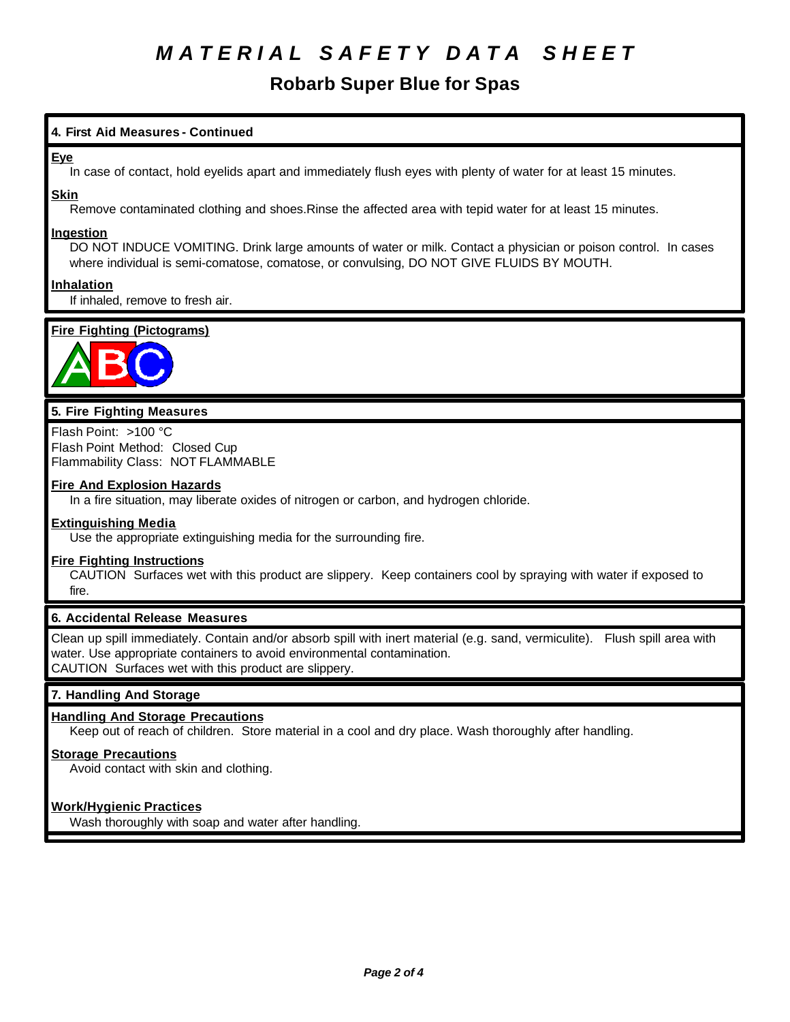# **Robarb Super Blue for Spas**

# **4. First Aid Measures - Continued**

## **Eye**

In case of contact, hold eyelids apart and immediately flush eyes with plenty of water for at least 15 minutes.

#### **Skin**

Remove contaminated clothing and shoes.Rinse the affected area with tepid water for at least 15 minutes.

#### **Ingestion**

DO NOT INDUCE VOMITING. Drink large amounts of water or milk. Contact a physician or poison control. In cases where individual is semi-comatose, comatose, or convulsing, DO NOT GIVE FLUIDS BY MOUTH.

## **Inhalation**

If inhaled, remove to fresh air.

# **Fire Fighting (Pictograms)**



## **5. Fire Fighting Measures**

Flash Point: >100 °C Flash Point Method: Closed Cup Flammability Class: NOT FLAMMABLE

#### **Fire And Explosion Hazards**

In a fire situation, may liberate oxides of nitrogen or carbon, and hydrogen chloride.

#### **Extinguishing Media**

Use the appropriate extinguishing media for the surrounding fire.

#### **Fire Fighting Instructions**

CAUTION Surfaces wet with this product are slippery. Keep containers cool by spraying with water if exposed to fire.

## **6. Accidental Release Measures**

Clean up spill immediately. Contain and/or absorb spill with inert material (e.g. sand, vermiculite). Flush spill area with water. Use appropriate containers to avoid environmental contamination. CAUTION Surfaces wet with this product are slippery.

## **7. Handling And Storage**

## **Handling And Storage Precautions**

Keep out of reach of children. Store material in a cool and dry place. Wash thoroughly after handling.

#### **Storage Precautions**

Avoid contact with skin and clothing.

## **Work/Hygienic Practices**

Wash thoroughly with soap and water after handling.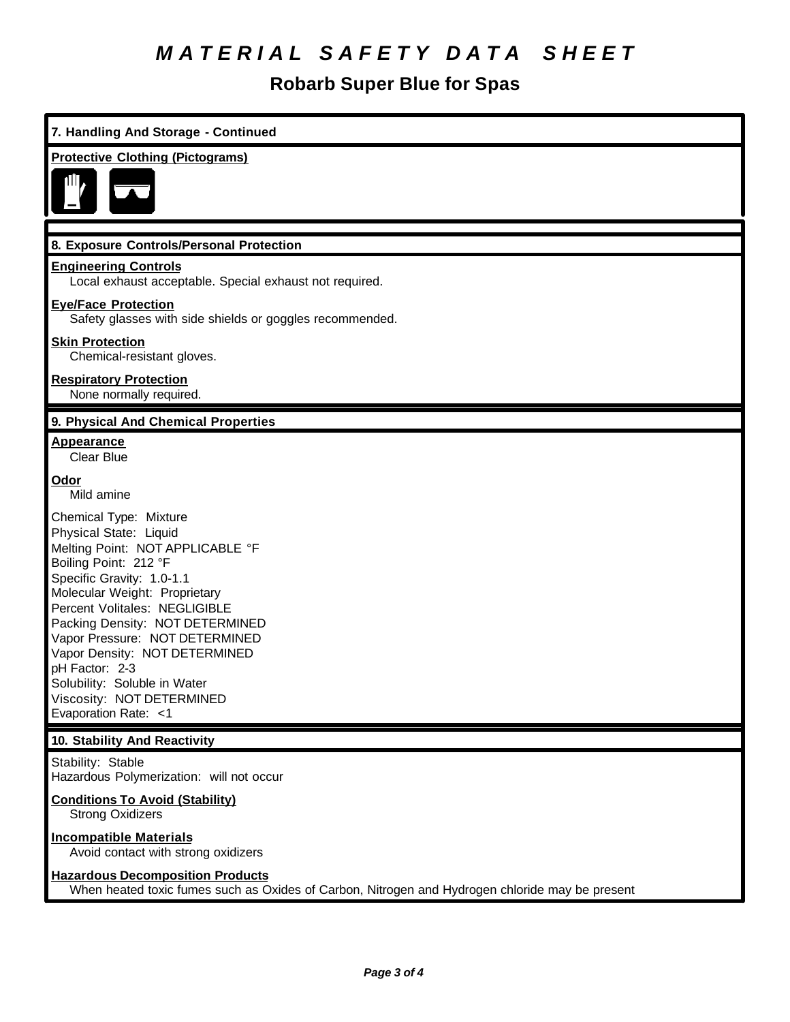# **Robarb Super Blue for Spas**

| 7. Handling And Storage - Continued                                                                                                                                                                                                                                                                                                                                                                                       |  |  |
|---------------------------------------------------------------------------------------------------------------------------------------------------------------------------------------------------------------------------------------------------------------------------------------------------------------------------------------------------------------------------------------------------------------------------|--|--|
| <b>Protective Clothing (Pictograms)</b>                                                                                                                                                                                                                                                                                                                                                                                   |  |  |
|                                                                                                                                                                                                                                                                                                                                                                                                                           |  |  |
| 8. Exposure Controls/Personal Protection                                                                                                                                                                                                                                                                                                                                                                                  |  |  |
| <b>Engineering Controls</b><br>Local exhaust acceptable. Special exhaust not required.                                                                                                                                                                                                                                                                                                                                    |  |  |
| <b>Eye/Face Protection</b><br>Safety glasses with side shields or goggles recommended.                                                                                                                                                                                                                                                                                                                                    |  |  |
| <b>Skin Protection</b><br>Chemical-resistant gloves.                                                                                                                                                                                                                                                                                                                                                                      |  |  |
| <b>Respiratory Protection</b><br>None normally required.                                                                                                                                                                                                                                                                                                                                                                  |  |  |
| 9. Physical And Chemical Properties                                                                                                                                                                                                                                                                                                                                                                                       |  |  |
| <b>Appearance</b><br><b>Clear Blue</b>                                                                                                                                                                                                                                                                                                                                                                                    |  |  |
| <b>Odor</b><br>Mild amine                                                                                                                                                                                                                                                                                                                                                                                                 |  |  |
| Chemical Type: Mixture<br>Physical State: Liquid<br>Melting Point: NOT APPLICABLE °F<br>Boiling Point: 212 °F<br>Specific Gravity: 1.0-1.1<br>Molecular Weight: Proprietary<br>Percent Volitales: NEGLIGIBLE<br>Packing Density: NOT DETERMINED<br>Vapor Pressure: NOT DETERMINED<br>Vapor Density: NOT DETERMINED<br>pH Factor: 2-3<br>Solubility: Soluble in Water<br>Viscosity: NOT DETERMINED<br>Evaporation Rate: <1 |  |  |
| 10. Stability And Reactivity                                                                                                                                                                                                                                                                                                                                                                                              |  |  |
| Stability: Stable<br>Hazardous Polymerization: will not occur                                                                                                                                                                                                                                                                                                                                                             |  |  |
| <b>Conditions To Avoid (Stability)</b><br><b>Strong Oxidizers</b>                                                                                                                                                                                                                                                                                                                                                         |  |  |
| <b>Incompatible Materials</b><br>Avoid contact with strong oxidizers                                                                                                                                                                                                                                                                                                                                                      |  |  |
| <b>Hazardous Decomposition Products</b><br>When heated toxic fumes such as Oxides of Carbon, Nitrogen and Hydrogen chloride may be present                                                                                                                                                                                                                                                                                |  |  |